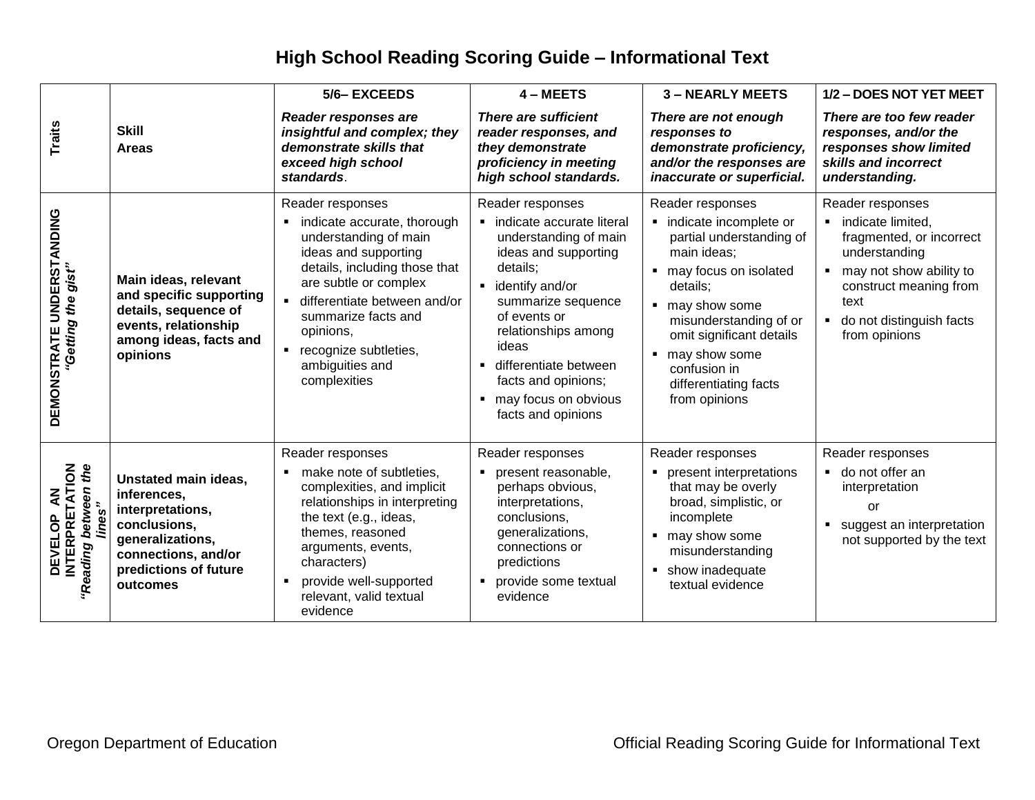## **High School Reading Scoring Guide – Informational Text**

|                                                                        |                                                                                                                                                         | 5/6-EXCEEDS                                                                                                                                                                                                                                                                                                                    | 4 - MEETS                                                                                                                                                                                                                                                                                                                               | <b>3-NEARLY MEETS</b>                                                                                                                                                                                                                                                                | 1/2 - DOES NOT YET MEET                                                                                                                                                                                        |
|------------------------------------------------------------------------|---------------------------------------------------------------------------------------------------------------------------------------------------------|--------------------------------------------------------------------------------------------------------------------------------------------------------------------------------------------------------------------------------------------------------------------------------------------------------------------------------|-----------------------------------------------------------------------------------------------------------------------------------------------------------------------------------------------------------------------------------------------------------------------------------------------------------------------------------------|--------------------------------------------------------------------------------------------------------------------------------------------------------------------------------------------------------------------------------------------------------------------------------------|----------------------------------------------------------------------------------------------------------------------------------------------------------------------------------------------------------------|
| <b>Traits</b>                                                          | <b>Skill</b><br><b>Areas</b>                                                                                                                            | Reader responses are<br>insightful and complex; they<br>demonstrate skills that<br>exceed high school<br>standards.                                                                                                                                                                                                            | There are sufficient<br>reader responses, and<br>they demonstrate<br>proficiency in meeting<br>high school standards.                                                                                                                                                                                                                   | There are not enough<br>responses to<br>demonstrate proficiency,<br>and/or the responses are<br>inaccurate or superficial.                                                                                                                                                           | There are too few reader<br>responses, and/or the<br>responses show limited<br>skills and incorrect<br>understanding.                                                                                          |
| DEMONSTRATE UNDERSTANDING<br>"Getting the gist"                        | Main ideas, relevant<br>and specific supporting<br>details, sequence of<br>events, relationship<br>among ideas, facts and<br>opinions                   | Reader responses<br>indicate accurate, thorough<br>understanding of main<br>ideas and supporting<br>details, including those that<br>are subtle or complex<br>differentiate between and/or<br>$\blacksquare$<br>summarize facts and<br>opinions,<br>recognize subtleties,<br>$\blacksquare$<br>ambiguities and<br>complexities | Reader responses<br>· indicate accurate literal<br>understanding of main<br>ideas and supporting<br>details;<br>identify and/or<br>summarize sequence<br>of events or<br>relationships among<br>ideas<br>differentiate between<br>$\blacksquare$<br>facts and opinions;<br>may focus on obvious<br>$\blacksquare$<br>facts and opinions | Reader responses<br>· indicate incomplete or<br>partial understanding of<br>main ideas:<br>• may focus on isolated<br>details;<br>■ may show some<br>misunderstanding of or<br>omit significant details<br>■ may show some<br>confusion in<br>differentiating facts<br>from opinions | Reader responses<br>indicate limited,<br>fragmented, or incorrect<br>understanding<br>may not show ability to<br>construct meaning from<br>text<br>do not distinguish facts<br>$\blacksquare$<br>from opinions |
| <b>DEVELOP AN<br/>INTERPRETATION</b><br>"Reading between the<br>iines" | Unstated main ideas,<br>inferences,<br>interpretations,<br>conclusions,<br>generalizations,<br>connections, and/or<br>predictions of future<br>outcomes | Reader responses<br>make note of subtleties,<br>complexities, and implicit<br>relationships in interpreting<br>the text (e.g., ideas,<br>themes, reasoned<br>arguments, events,<br>characters)<br>provide well-supported<br>٠<br>relevant, valid textual<br>evidence                                                           | Reader responses<br>present reasonable,<br>$\blacksquare$<br>perhaps obvious,<br>interpretations,<br>conclusions,<br>generalizations,<br>connections or<br>predictions<br>provide some textual<br>$\blacksquare$<br>evidence                                                                                                            | Reader responses<br>• present interpretations<br>that may be overly<br>broad, simplistic, or<br>incomplete<br>■ may show some<br>misunderstanding<br>• show inadequate<br>textual evidence                                                                                           | Reader responses<br>■ do not offer an<br>interpretation<br>or<br>suggest an interpretation<br>$\blacksquare$<br>not supported by the text                                                                      |
|                                                                        | Oregon Department of Education                                                                                                                          |                                                                                                                                                                                                                                                                                                                                |                                                                                                                                                                                                                                                                                                                                         | <b>Official Reading Scoring Guide for Informational Text</b>                                                                                                                                                                                                                         |                                                                                                                                                                                                                |